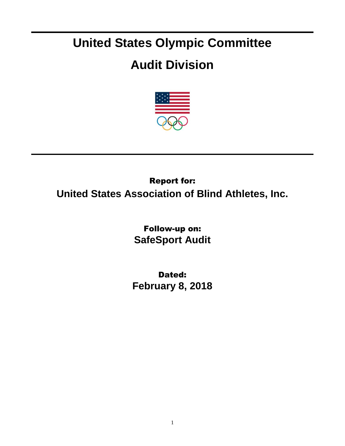## **United States Olympic Committee**

## **Audit Division**



## Report for: **United States Association of Blind Athletes, Inc.**

Follow-up on: **SafeSport Audit**

Dated: **February 8, 2018**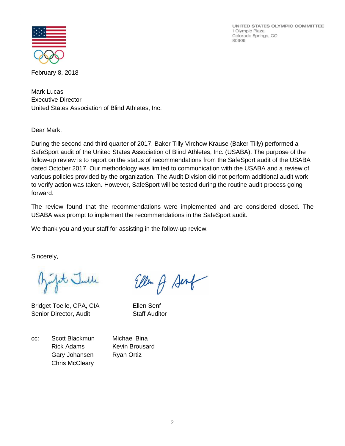UNITED STATES OLYMPIC COMMITTEE 1 Olympic Plaza Colorado Springs, CO 80909



February 8, 2018

Mark Lucas Executive Director United States Association of Blind Athletes, Inc.

Dear Mark,

During the second and third quarter of 2017, Baker Tilly Virchow Krause (Baker Tilly) performed a SafeSport audit of the United States Association of Blind Athletes, Inc. (USABA). The purpose of the follow-up review is to report on the status of recommendations from the SafeSport audit of the USABA dated October 2017. Our methodology was limited to communication with the USABA and a review of various policies provided by the organization. The Audit Division did not perform additional audit work to verify action was taken. However, SafeSport will be tested during the routine audit process going forward.

The review found that the recommendations were implemented and are considered closed. The USABA was prompt to implement the recommendations in the SafeSport audit.

We thank you and your staff for assisting in the follow-up review.

Sincerely,

fit Julle

Bridget Toelle, CPA, CIA Ellen Senf Senior Director, Audit Staff Auditor

Ellen of Sent

cc: Scott Blackmun Michael Bina Rick Adams Kevin Brousard Gary Johansen Ryan Ortiz Chris McCleary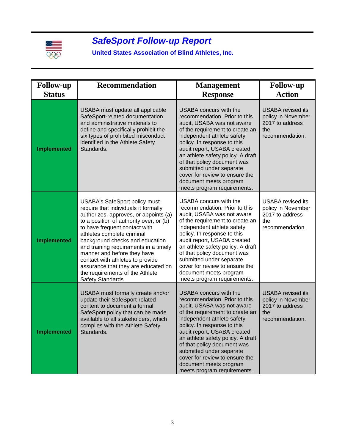

## *SafeSport Follow-up Report*

**United States Association of Blind Athletes, Inc.**

| <b>Follow-up</b>   | <b>Recommendation</b>                                                                                                                                                                                                                                                                                                                                                                                                                                                         | <b>Management</b>                                                                                                                                                                                                                                                                                                                                                                                                      | <b>Follow-up</b>                                                                            |
|--------------------|-------------------------------------------------------------------------------------------------------------------------------------------------------------------------------------------------------------------------------------------------------------------------------------------------------------------------------------------------------------------------------------------------------------------------------------------------------------------------------|------------------------------------------------------------------------------------------------------------------------------------------------------------------------------------------------------------------------------------------------------------------------------------------------------------------------------------------------------------------------------------------------------------------------|---------------------------------------------------------------------------------------------|
| <b>Status</b>      |                                                                                                                                                                                                                                                                                                                                                                                                                                                                               | <b>Response</b>                                                                                                                                                                                                                                                                                                                                                                                                        | <b>Action</b>                                                                               |
| <b>Implemented</b> | USABA must update all applicable<br>SafeSport-related documentation<br>and administrative materials to<br>define and specifically prohibit the<br>six types of prohibited misconduct<br>identified in the Athlete Safety<br>Standards.                                                                                                                                                                                                                                        | <b>USABA</b> concurs with the<br>recommendation. Prior to this<br>audit, USABA was not aware<br>of the requirement to create an<br>independent athlete safety<br>policy. In response to this<br>audit report, USABA created<br>an athlete safety policy. A draft<br>of that policy document was<br>submitted under separate<br>cover for review to ensure the<br>document meets program<br>meets program requirements. | <b>USABA</b> revised its<br>policy in November<br>2017 to address<br>the<br>recommendation. |
| <b>Implemented</b> | <b>USABA's SafeSport policy must</b><br>require that individuals it formally<br>authorizes, approves, or appoints (a)<br>to a position of authority over, or (b)<br>to have frequent contact with<br>athletes complete criminal<br>background checks and education<br>and training requirements in a timely<br>manner and before they have<br>contact with athletes to provide<br>assurance that they are educated on<br>the requirements of the Athlete<br>Safety Standards. | USABA concurs with the<br>recommendation. Prior to this<br>audit, USABA was not aware<br>of the requirement to create an<br>independent athlete safety<br>policy. In response to this<br>audit report, USABA created<br>an athlete safety policy. A draft<br>of that policy document was<br>submitted under separate<br>cover for review to ensure the<br>document meets program<br>meets program requirements.        | <b>USABA</b> revised its<br>policy in November<br>2017 to address<br>the<br>recommendation. |
| <b>Implemented</b> | USABA must formally create and/or<br>update their SafeSport-related<br>content to document a formal<br>SafeSport policy that can be made<br>available to all stakeholders, which<br>complies with the Athlete Safety<br>Standards.                                                                                                                                                                                                                                            | <b>USABA</b> concurs with the<br>recommendation. Prior to this<br>audit, USABA was not aware<br>of the requirement to create an<br>independent athlete safety<br>policy. In response to this<br>audit report, USABA created<br>an athlete safety policy. A draft<br>of that policy document was<br>submitted under separate<br>cover for review to ensure the<br>document meets program<br>meets program requirements. | <b>USABA</b> revised its<br>policy in November<br>2017 to address<br>the<br>recommendation. |